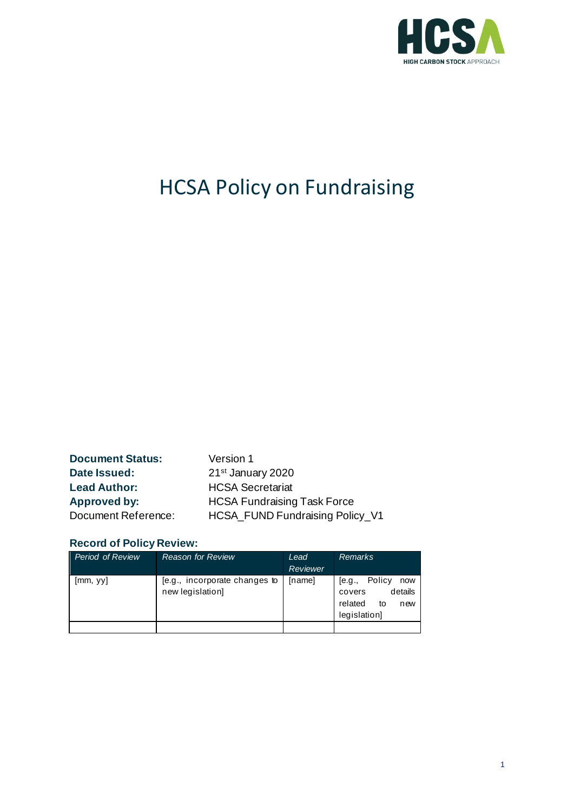

# HCSA Policy on Fundraising

**Document Status:** Version 1 **Date Issued:** 21st January 2020 **Lead Author:** HCSA Secretariat

Approved by: **HCSA Fundraising Task Force** Document Reference: HCSA\_FUND Fundraising Policy\_V1

#### **Record of Policy Review:**

| <b>Period of Review</b> | <b>Reason for Review</b>                          | Lead<br>Reviewer | <b>Remarks</b>                                                                       |
|-------------------------|---------------------------------------------------|------------------|--------------------------------------------------------------------------------------|
| [mm, yy]                | [e.g., incorporate changes to<br>new legislation] | [name]           | Policy<br>[e.g.,<br>now<br>details<br>covers<br>related<br>to<br>new<br>legislation] |
|                         |                                                   |                  |                                                                                      |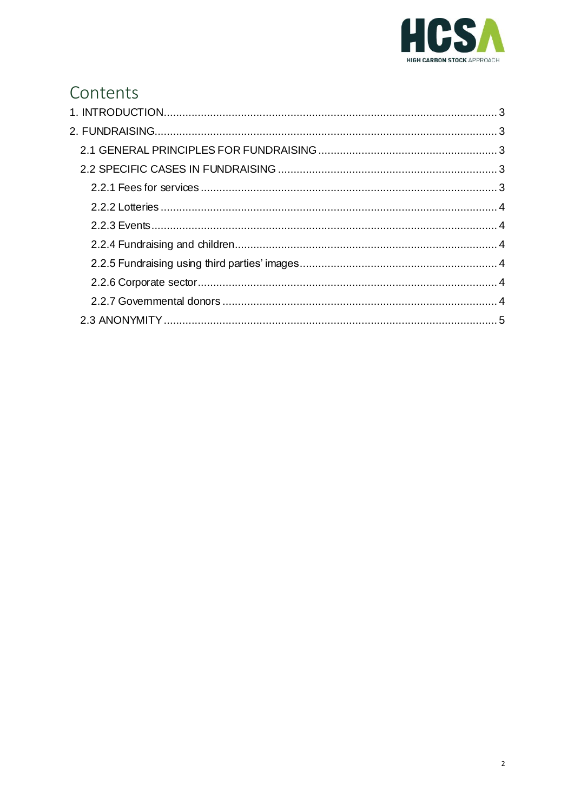

# Contents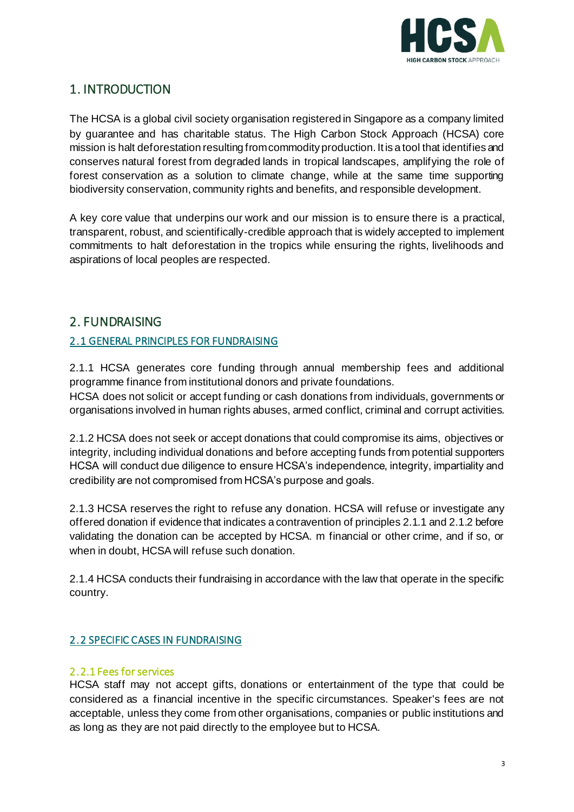

## <span id="page-2-0"></span>1. INTRODUCTION

The HCSA is a global civil society organisation registered in Singapore as a company limited by guarantee and has charitable status. The High Carbon Stock Approach (HCSA) core mission is halt deforestation resulting from commodity production. It is a tool that identifies and conserves natural forest from degraded lands in tropical landscapes, amplifying the role of forest conservation as a solution to climate change, while at the same time supporting biodiversity conservation, community rights and benefits, and responsible development.

A key core value that underpins our work and our mission is to ensure there is a practical, transparent, robust, and scientifically-credible approach that is widely accepted to implement commitments to halt deforestation in the tropics while ensuring the rights, livelihoods and aspirations of local peoples are respected.

### <span id="page-2-1"></span>2. FUNDRAISING

#### <span id="page-2-2"></span>2.1 GENERAL PRINCIPLES FOR FUNDRAISING

2.1.1 HCSA generates core funding through annual membership fees and additional programme finance from institutional donors and private foundations.

HCSA does not solicit or accept funding or cash donations from individuals, governments or organisations involved in human rights abuses, armed conflict, criminal and corrupt activities.

2.1.2 HCSA does not seek or accept donations that could compromise its aims, objectives or integrity, including individual donations and before accepting funds from potential supporters HCSA will conduct due diligence to ensure HCSA's independence, integrity, impartiality and credibility are not compromised from HCSA's purpose and goals.

2.1.3 HCSA reserves the right to refuse any donation. HCSA will refuse or investigate any offered donation if evidence that indicates a contravention of principles 2.1.1 and 2.1.2 before validating the donation can be accepted by HCSA. m financial or other crime, and if so, or when in doubt, HCSA will refuse such donation.

2.1.4 HCSA conducts their fundraising in accordance with the law that operate in the specific country.

#### <span id="page-2-3"></span>2.2 SPECIFIC CASES IN FUNDRAISING

#### <span id="page-2-4"></span>2.2.1 Fees for services

HCSA staff may not accept gifts, donations or entertainment of the type that could be considered as a financial incentive in the specific circumstances. Speaker's fees are not acceptable, unless they come from other organisations, companies or public institutions and as long as they are not paid directly to the employee but to HCSA.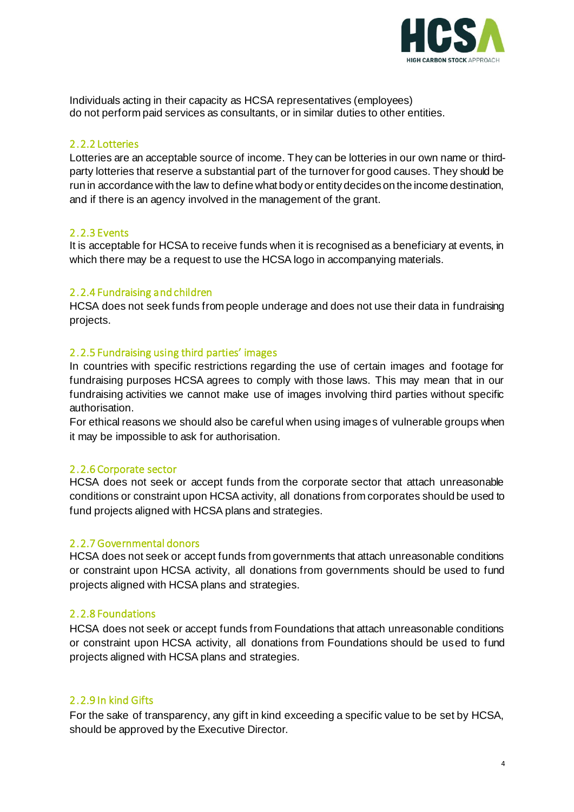

Individuals acting in their capacity as HCSA representatives (employees) do not perform paid services as consultants, or in similar duties to other entities.

#### <span id="page-3-0"></span>2.2.2 Lotteries

Lotteries are an acceptable source of income. They can be lotteries in our own name or thirdparty lotteries that reserve a substantial part of the turnover for good causes. They should be run in accordance with the law to define what body or entity decides on the income destination, and if there is an agency involved in the management of the grant.

#### <span id="page-3-1"></span>2.2.3 Events

It is acceptable for HCSA to receive funds when it is recognised as a beneficiary at events, in which there may be a request to use the HCSA logo in accompanying materials.

#### <span id="page-3-2"></span>2.2.4 Fundraising and children

HCSA does not seek funds from people underage and does not use their data in fundraising projects.

#### <span id="page-3-3"></span>2.2.5 Fundraising using third parties' images

In countries with specific restrictions regarding the use of certain images and footage for fundraising purposes HCSA agrees to comply with those laws. This may mean that in our fundraising activities we cannot make use of images involving third parties without specific authorisation.

For ethical reasons we should also be careful when using images of vulnerable groups when it may be impossible to ask for authorisation.

#### <span id="page-3-4"></span>2.2.6 Corporate sector

HCSA does not seek or accept funds from the corporate sector that attach unreasonable conditions or constraint upon HCSA activity, all donations from corporates should be used to fund projects aligned with HCSA plans and strategies.

#### <span id="page-3-5"></span>2.2.7 Governmental donors

HCSA does not seek or accept funds from governments that attach unreasonable conditions or constraint upon HCSA activity, all donations from governments should be used to fund projects aligned with HCSA plans and strategies.

#### 2.2.8 Foundations

HCSA does not seek or accept funds from Foundations that attach unreasonable conditions or constraint upon HCSA activity, all donations from Foundations should be used to fund projects aligned with HCSA plans and strategies.

#### 2.2.9 In kind Gifts

For the sake of transparency, any gift in kind exceeding a specific value to be set by HCSA, should be approved by the Executive Director.